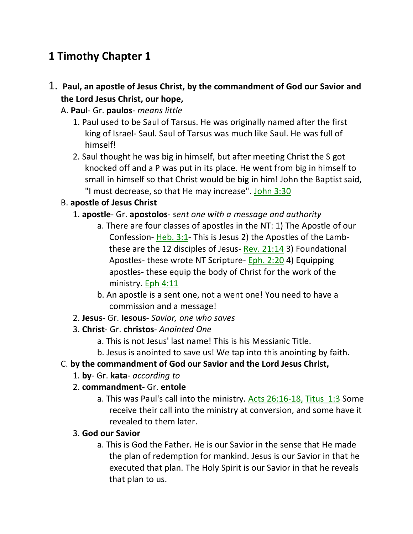# **1 Timothy Chapter 1**

# 1. **Paul, an apostle of Jesus Christ, by the commandment of God our Savior and the Lord Jesus Christ, our hope,**

- A. **Paul** Gr. **paulos** *means little*
	- 1. Paul used to be Saul of Tarsus. He was originally named after the first king of Israel- Saul. Saul of Tarsus was much like Saul. He was full of himself!
	- 2. Saul thought he was big in himself, but after meeting Christ the S got knocked off and a P was put in its place. He went from big in himself to small in himself so that Christ would be big in him! John the Baptist said, "I must decrease, so that He may increase". John 3:30

# B. **apostle of Jesus Christ**

- 1. **apostle** Gr. **apostolos** *sent one with a message and authority*
	- a. There are four classes of apostles in the NT: 1) The Apostle of our Confession- Heb. 3:1- This is Jesus 2) the Apostles of the Lambthese are the 12 disciples of Jesus- Rev. 21:14 3) Foundational Apostles- these wrote NT Scripture- Eph. 2:20 4) Equipping apostles- these equip the body of Christ for the work of the ministry. Eph 4:11
	- b. An apostle is a sent one, not a went one! You need to have a commission and a message!
- 2. **Jesus** Gr. **Iesous** *Savior, one who saves*
- 3. **Christ** Gr. **christos** *Anointed One*
	- a. This is not Jesus' last name! This is his Messianic Title.
	- b. Jesus is anointed to save us! We tap into this anointing by faith.

### C. **by the commandment of God our Savior and the Lord Jesus Christ,**

- 1. **by** Gr. **kata** *according to*
- 2. **commandment** Gr. **entole**
	- a. This was Paul's call into the ministry. Acts 26:16-18, Titus 1:3 Some receive their call into the ministry at conversion, and some have it revealed to them later.

### 3. **God our Savior**

a. This is God the Father. He is our Savior in the sense that He made the plan of redemption for mankind. Jesus is our Savior in that he executed that plan. The Holy Spirit is our Savior in that he reveals that plan to us.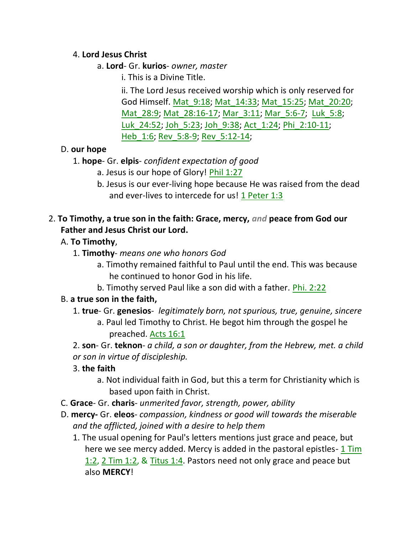### 4. **Lord Jesus Christ**

- a. **Lord** Gr. **kurios** *owner, master*
	- i. This is a Divine Title.

ii. The Lord Jesus received worship which is only reserved for God Himself. Mat\_9:18; Mat\_14:33; Mat\_15:25; Mat\_20:20; Mat\_28:9; Mat\_28:16-17; Mar\_3:11; Mar\_5:6-7; Luk\_5:8; Luk\_24:52; Joh\_5:23; Joh\_9:38; Act\_1:24; Phi\_2:10-11; Heb\_1:6; Rev\_5:8-9; Rev\_5:12-14;

# D. **our hope**

# 1. **hope**- Gr. **elpis**- *confident expectation of good*

- a. Jesus is our hope of Glory! Phil 1:27
- b. Jesus is our ever-living hope because He was raised from the dead and ever-lives to intercede for us! 1 Peter 1:3

# 2. **To Timothy, a true son in the faith: Grace, mercy,** *and* **peace from God our Father and Jesus Christ our Lord.**

# A. **To Timothy**,

- 1. **Timothy** *means one who honors God*
	- a. Timothy remained faithful to Paul until the end. This was because he continued to honor God in his life.
	- b. Timothy served Paul like a son did with a father. Phi. 2:22

# B. **a true son in the faith,**

- 1. **true** Gr. **genesios** *legitimately born, not spurious, true, genuine, sincere*
	- a. Paul led Timothy to Christ. He begot him through the gospel he preached. Acts 16:1
- 2. **son** Gr. **teknon** *a child, a son or daughter, from the Hebrew, met. a child or son in virtue of discipleship.*
- 3. **the faith**
	- a. Not individual faith in God, but this a term for Christianity which is based upon faith in Christ.
- C. **Grace** Gr. **charis** *unmerited favor, strength, power, ability*
- D. **mercy-** Gr. **eleos** *compassion, kindness or good will towards the miserable and the afflicted, joined with a desire to help them*
	- 1. The usual opening for Paul's letters mentions just grace and peace, but here we see mercy added. Mercy is added in the pastoral epistles- 1 Tim 1:2, 2 Tim 1:2, & Titus 1:4. Pastors need not only grace and peace but also **MERCY**!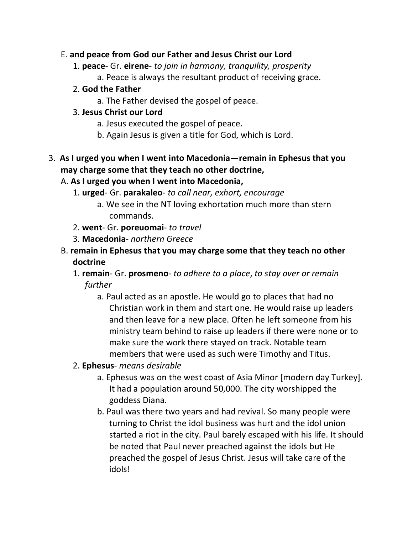#### E. **and peace from God our Father and Jesus Christ our Lord**

- 1. **peace** Gr. **eirene** *to join in harmony, tranquility, prosperity*
	- a. Peace is always the resultant product of receiving grace.

#### 2. **God the Father**

a. The Father devised the gospel of peace.

#### 3. **Jesus Christ our Lord**

- a. Jesus executed the gospel of peace.
- b. Again Jesus is given a title for God, which is Lord.

# 3. **As I urged you when I went into Macedonia—remain in Ephesus that you may charge some that they teach no other doctrine,**

### A. **As I urged you when I went into Macedonia,**

- 1. **urged** Gr. **parakaleo** *to call near, exhort, encourage*
	- a. We see in the NT loving exhortation much more than stern commands.
- 2. **went** Gr. **poreuomai** *to travel*
- 3. **Macedonia** *northern Greece*
- B. **remain in Ephesus that you may charge some that they teach no other doctrine**
	- 1. **remain** Gr. **prosmeno** *to adhere to a place*, *to stay over or remain further*
		- a. Paul acted as an apostle. He would go to places that had no Christian work in them and start one. He would raise up leaders and then leave for a new place. Often he left someone from his ministry team behind to raise up leaders if there were none or to make sure the work there stayed on track. Notable team members that were used as such were Timothy and Titus.

### 2. **Ephesus**- *means desirable*

- a. Ephesus was on the west coast of Asia Minor [modern day Turkey]. It had a population around 50,000. The city worshipped the goddess Diana.
- b. Paul was there two years and had revival. So many people were turning to Christ the idol business was hurt and the idol union started a riot in the city. Paul barely escaped with his life. It should be noted that Paul never preached against the idols but He preached the gospel of Jesus Christ. Jesus will take care of the idols!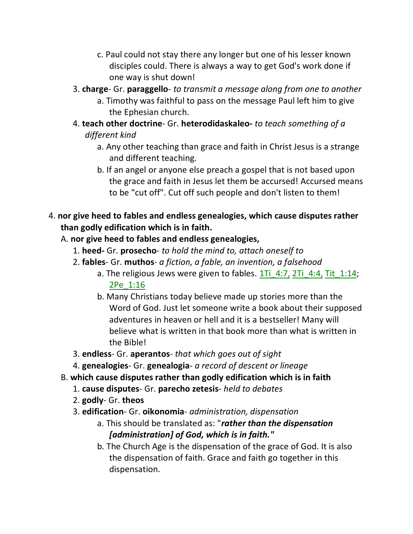- c. Paul could not stay there any longer but one of his lesser known disciples could. There is always a way to get God's work done if one way is shut down!
- 3. **charge** Gr. **paraggello** *to transmit a message along from one to another*
	- a. Timothy was faithful to pass on the message Paul left him to give the Ephesian church.
- 4. **teach other doctrine** Gr. **heterodidaskaleo-** *to teach something of a different kind*
	- a. Any other teaching than grace and faith in Christ Jesus is a strange and different teaching.
	- b. If an angel or anyone else preach a gospel that is not based upon the grace and faith in Jesus let them be accursed! Accursed means to be "cut off". Cut off such people and don't listen to them!
- 4. **nor give heed to fables and endless genealogies, which cause disputes rather than godly edification which is in faith.** 
	- A. **nor give heed to fables and endless genealogies,**
		- 1. **heed-** Gr. **prosecho** *to hold the mind to, attach oneself to*
		- 2. **fables** Gr. **muthos** *a fiction, a fable, an invention, a falsehood*
			- a. The religious Jews were given to fables. 1Ti\_4:7, 2Ti\_4:4, Tit\_1:14; 2Pe\_1:16
			- b. Many Christians today believe made up stories more than the Word of God. Just let someone write a book about their supposed adventures in heaven or hell and it is a bestseller! Many will believe what is written in that book more than what is written in the Bible!
		- 3. **endless** Gr. **aperantos** *that which goes out of sight*
		- 4. **genealogies** Gr. **genealogia** *a record of descent or lineage*
	- B. **which cause disputes rather than godly edification which is in faith**
		- 1. **cause disputes** Gr. **parecho zetesis** *held to debates*
		- 2. **godly** Gr. **theos**
		- 3. **edification** Gr. **oikonomia** *administration, dispensation*
			- a. This should be translated as: "*rather than the dispensation [administration] of God, which is in faith."*
			- b. The Church Age is the dispensation of the grace of God. It is also the dispensation of faith. Grace and faith go together in this dispensation.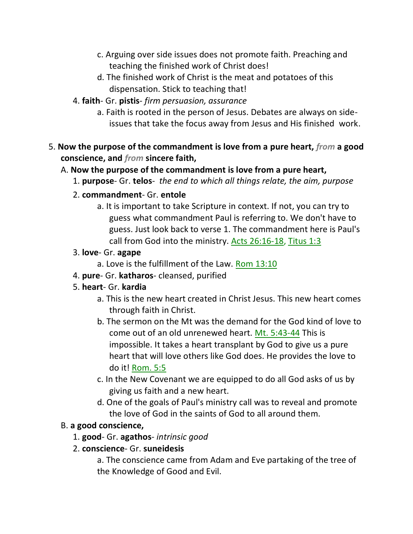- c. Arguing over side issues does not promote faith. Preaching and teaching the finished work of Christ does!
- d. The finished work of Christ is the meat and potatoes of this dispensation. Stick to teaching that!
- 4. **faith** Gr. **pistis** *firm persuasion, assurance*
	- a. Faith is rooted in the person of Jesus. Debates are always on sideissues that take the focus away from Jesus and His finished work.
- 5. **Now the purpose of the commandment is love from a pure heart,** *from* **a good conscience, and** *from* **sincere faith,** 
	- A. **Now the purpose of the commandment is love from a pure heart,**
		- 1. **purpose** Gr. **telos** *the end to which all things relate, the aim, purpose*
		- 2. **commandment** Gr. **entole**
			- a. It is important to take Scripture in context. If not, you can try to guess what commandment Paul is referring to. We don't have to guess. Just look back to verse 1. The commandment here is Paul's call from God into the ministry. Acts 26:16-18, Titus 1:3
		- 3. **love** Gr. **agape**
			- a. Love is the fulfillment of the Law. Rom 13:10
		- 4. **pure** Gr. **katharos** cleansed, purified
		- 5. **heart** Gr. **kardia**
			- a. This is the new heart created in Christ Jesus. This new heart comes through faith in Christ.
			- b. The sermon on the Mt was the demand for the God kind of love to come out of an old unrenewed heart. Mt. 5:43-44 This is impossible. It takes a heart transplant by God to give us a pure heart that will love others like God does. He provides the love to do it! Rom. 5:5
			- c. In the New Covenant we are equipped to do all God asks of us by giving us faith and a new heart.
			- d. One of the goals of Paul's ministry call was to reveal and promote the love of God in the saints of God to all around them.

### B. **a good conscience,**

- 1. **good** Gr. **agathos** *intrinsic good*
- 2. **conscience** Gr. **suneidesis**

a. The conscience came from Adam and Eve partaking of the tree of the Knowledge of Good and Evil.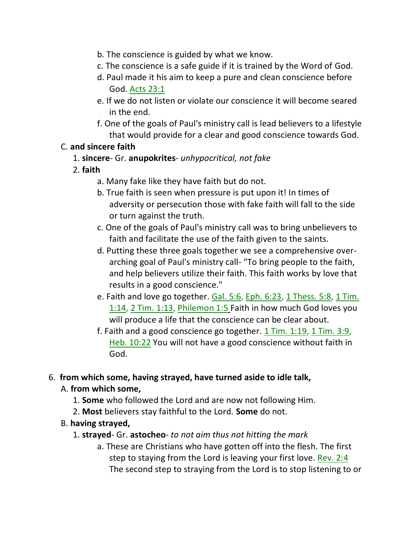- b. The conscience is guided by what we know.
- c. The conscience is a safe guide if it is trained by the Word of God.
- d. Paul made it his aim to keep a pure and clean conscience before God. Acts 23:1
- e. If we do not listen or violate our conscience it will become seared in the end.
- f. One of the goals of Paul's ministry call is lead believers to a lifestyle that would provide for a clear and good conscience towards God.

#### C. **and sincere faith**

1. **sincere**- Gr. **anupokrites**- *unhypocritical, not fake*

#### 2. **faith**

- a. Many fake like they have faith but do not.
- b. True faith is seen when pressure is put upon it! In times of adversity or persecution those with fake faith will fall to the side or turn against the truth.
- c. One of the goals of Paul's ministry call was to bring unbelievers to faith and facilitate the use of the faith given to the saints.
- d. Putting these three goals together we see a comprehensive overarching goal of Paul's ministry call- "To bring people to the faith, and help believers utilize their faith. This faith works by love that results in a good conscience."
- e. Faith and love go together. Gal. 5:6, Eph. 6:23, 1 Thess. 5:8, 1 Tim. 1:14, 2 Tim. 1:13, Philemon 1:5 Faith in how much God loves you will produce a life that the conscience can be clear about.
- f. Faith and a good conscience go together. 1 Tim. 1:19, 1 Tim. 3:9, Heb. 10:22 You will not have a good conscience without faith in God.

### 6. **from which some, having strayed, have turned aside to idle talk,**

### A. **from which some,**

- 1. **Some** who followed the Lord and are now not following Him.
- 2. **Most** believers stay faithful to the Lord. **Some** do not.

### B. **having strayed,**

- 1. **strayed** Gr. **astocheo** *to not aim thus not hitting the mark*
	- a. These are Christians who have gotten off into the flesh. The first step to staying from the Lord is leaving your first love. Rev. 2:4 The second step to straying from the Lord is to stop listening to or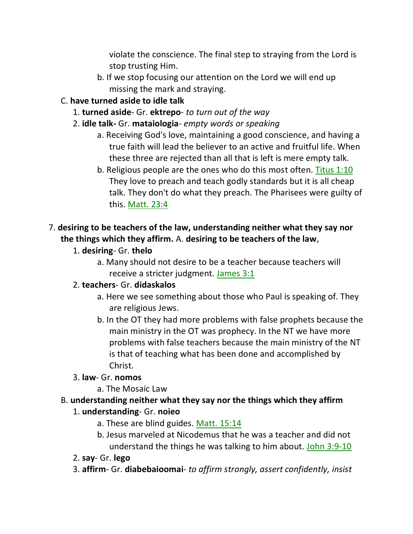violate the conscience. The final step to straying from the Lord is stop trusting Him.

b. If we stop focusing our attention on the Lord we will end up missing the mark and straying.

### C. **have turned aside to idle talk**

- 1. **turned aside** Gr. **ektrepo** *to turn out of the way*
- 2. **idle talk-** Gr. **mataiologia** *empty words or speaking*
	- a. Receiving God's love, maintaining a good conscience, and having a true faith will lead the believer to an active and fruitful life. When these three are rejected than all that is left is mere empty talk.
	- b. Religious people are the ones who do this most often. Titus 1:10 They love to preach and teach godly standards but it is all cheap talk. They don't do what they preach. The Pharisees were guilty of this. Matt. 23:4

# 7. **desiring to be teachers of the law, understanding neither what they say nor the things which they affirm.** A. **desiring to be teachers of the law**,

- 1. **desiring** Gr. **thelo**
	- a. Many should not desire to be a teacher because teachers will receive a stricter judgment. James 3:1

# 2. **teachers**- Gr. **didaskalos**

- a. Here we see something about those who Paul is speaking of. They are religious Jews.
- b. In the OT they had more problems with false prophets because the main ministry in the OT was prophecy. In the NT we have more problems with false teachers because the main ministry of the NT is that of teaching what has been done and accomplished by Christ.

# 3. **law**- Gr. **nomos**

a. The Mosaic Law

# B. **understanding neither what they say nor the things which they affirm**

### 1. **understanding**- Gr. **noieo**

- a. These are blind guides. Matt. 15:14
- b. Jesus marveled at Nicodemus that he was a teacher and did not understand the things he was talking to him about. John 3:9-10
- 2. **say** Gr. **lego**
- 3. **affirm** Gr. **diabebaioomai** *to affirm strongly, assert confidently, insist*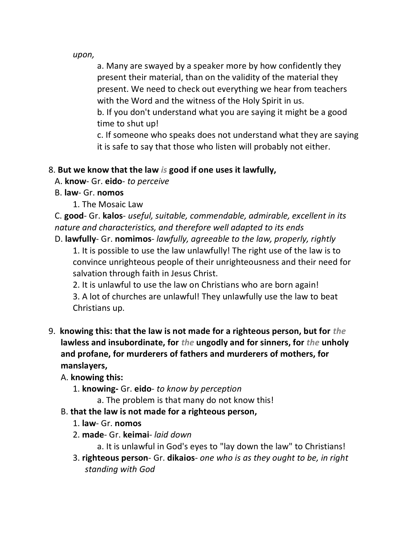*upon,*

a. Many are swayed by a speaker more by how confidently they present their material, than on the validity of the material they present. We need to check out everything we hear from teachers with the Word and the witness of the Holy Spirit in us.

b. If you don't understand what you are saying it might be a good time to shut up!

c. If someone who speaks does not understand what they are saying it is safe to say that those who listen will probably not either.

### 8. **But we know that the law** *is* **good if one uses it lawfully,**

- A. **know** Gr. **eido** *to perceive*
- B. **law** Gr. **nomos**
	- 1. The Mosaic Law

C. **good**- Gr. **kalos**- *useful, suitable, commendable, admirable, excellent in its nature and characteristics, and therefore well adapted to its ends*

D. **lawfully**- Gr. **nomimos**- *lawfully, agreeable to the law, properly, rightly* 1. It is possible to use the law unlawfully! The right use of the law is to convince unrighteous people of their unrighteousness and their need for salvation through faith in Jesus Christ.

2. It is unlawful to use the law on Christians who are born again! 3. A lot of churches are unlawful! They unlawfully use the law to beat Christians up.

9. **knowing this: that the law is not made for a righteous person, but for** *the* **lawless and insubordinate, for** *the* **ungodly and for sinners, for** *the* **unholy and profane, for murderers of fathers and murderers of mothers, for manslayers,** 

A. **knowing this:**

- 1. **knowing-** Gr. **eido** *to know by perception*
	- a. The problem is that many do not know this!
- B. **that the law is not made for a righteous person,**
	- 1. **law** Gr. **nomos**
	- 2. **made** Gr. **keimai** *laid down*
		- a. It is unlawful in God's eyes to "lay down the law" to Christians!
	- 3. **righteous person** Gr. **dikaios** *one who is as they ought to be, in right standing with God*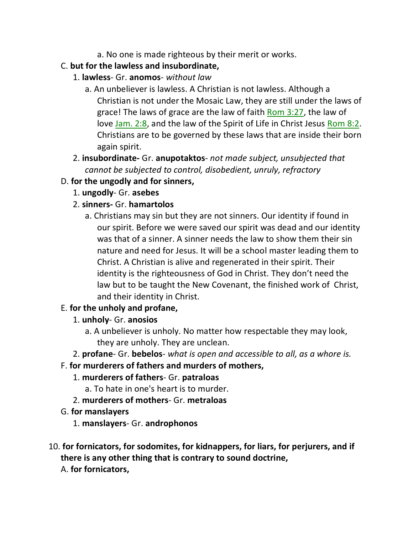- a. No one is made righteous by their merit or works.
- C. **but for the lawless and insubordinate,**
	- 1. **lawless** Gr. **anomos** *without law*
		- a. An unbeliever is lawless. A Christian is not lawless. Although a Christian is not under the Mosaic Law, they are still under the laws of grace! The laws of grace are the law of faith Rom 3:27, the law of love Jam. 2:8, and the law of the Spirit of Life in Christ Jesus Rom 8:2. Christians are to be governed by these laws that are inside their born again spirit.
	- 2. **insubordinate-** Gr. **anupotaktos** *not made subject, unsubjected that cannot be subjected to control, disobedient, unruly, refractory*

### D. **for the ungodly and for sinners,**

- 1. **ungodly** Gr. **asebes**
- 2. **sinners-** Gr. **hamartolos**
	- a. Christians may sin but they are not sinners. Our identity if found in our spirit. Before we were saved our spirit was dead and our identity was that of a sinner. A sinner needs the law to show them their sin nature and need for Jesus. It will be a school master leading them to Christ. A Christian is alive and regenerated in their spirit. Their identity is the righteousness of God in Christ. They don't need the law but to be taught the New Covenant, the finished work of Christ, and their identity in Christ.

### E. **for the unholy and profane,**

- 1. **unholy** Gr. **anosios**
	- a. A unbeliever is unholy. No matter how respectable they may look, they are unholy. They are unclean.
- 2. **profane** Gr. **bebelos** *what is open and accessible to all, as a whore is.*

#### F. **for murderers of fathers and murders of mothers,**

- 1. **murderers of fathers** Gr. **patraloas**
	- a. To hate in one's heart is to murder.
- 2. **murderers of mothers** Gr. **metraloas**
- G. **for manslayers**
	- 1. **manslayers** Gr. **androphonos**
- 10. **for fornicators, for sodomites, for kidnappers, for liars, for perjurers, and if there is any other thing that is contrary to sound doctrine,** 
	- A. **for fornicators,**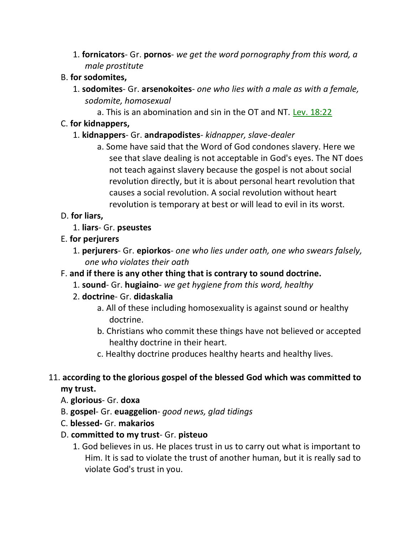1. **fornicators**- Gr. **pornos**- *we get the word pornography from this word, a male prostitute*

#### B. **for sodomites,**

- 1. **sodomites** Gr. **arsenokoites** *one who lies with a male as with a female, sodomite, homosexual*
	- a. This is an abomination and sin in the OT and NT. Lev. 18:22

#### C. **for kidnappers,**

### 1. **kidnappers**- Gr. **andrapodistes**- *kidnapper, slave-dealer*

a. Some have said that the Word of God condones slavery. Here we see that slave dealing is not acceptable in God's eyes. The NT does not teach against slavery because the gospel is not about social revolution directly, but it is about personal heart revolution that causes a social revolution. A social revolution without heart revolution is temporary at best or will lead to evil in its worst.

### D. **for liars,**

- 1. **liars** Gr. **pseustes**
- E. **for perjurers**
	- 1. **perjurers** Gr. **epiorkos** *one who lies under oath, one who swears falsely, one who violates their oath*
- F. **and if there is any other thing that is contrary to sound doctrine.**
	- 1. **sound** Gr. **hugiaino** *we get hygiene from this word, healthy*
	- 2. **doctrine** Gr. **didaskalia**
		- a. All of these including homosexuality is against sound or healthy doctrine.
		- b. Christians who commit these things have not believed or accepted healthy doctrine in their heart.
		- c. Healthy doctrine produces healthy hearts and healthy lives.

### 11. **according to the glorious gospel of the blessed God which was committed to my trust.**

- A. **glorious** Gr. **doxa**
- B. **gospel** Gr. **euaggelion** *good news, glad tidings*
- C. **blessed-** Gr. **makarios**
- D. **committed to my trust** Gr. **pisteuo**
	- 1. God believes in us. He places trust in us to carry out what is important to Him. It is sad to violate the trust of another human, but it is really sad to violate God's trust in you.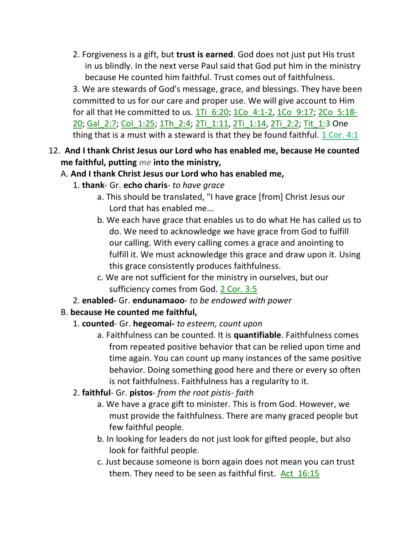2. Forgiveness is a gift, but **trust is earned**. God does not just put His trust in us blindly. In the next verse Paul said that God put him in the ministry because He counted him faithful. Trust comes out of faithfulness.

3. We are stewards of God's message, grace, and blessings. They have been committed to us for our care and proper use. We will give account to Him for all that He committed to us.  $1\overline{11}$  6:20; 1Co 4:1-2, 1Co 9:17; 2Co 5:18-20; Gal 2:7; Col 1:25; 1Th 2:4; 2Ti 1:11, 2Ti 1:14, 2Ti 2:2; Tit\_1:3 One thing that is a must with a steward is that they be found faithful. 1 Cor. 4:1

12. **And I thank Christ Jesus our Lord who has enabled me, because He counted me faithful, putting** *me* **into the ministry,**

#### A. **And I thank Christ Jesus our Lord who has enabled me,**

- 1. **thank** Gr. **echo charis** *to have grace*
	- a. This should be translated, "I have grace [from] Christ Jesus our Lord that has enabled me...
	- b. We each have grace that enables us to do what He has called us to do. We need to acknowledge we have grace from God to fulfill our calling. With every calling comes a grace and anointing to fulfill it. We must acknowledge this grace and draw upon it. Using this grace consistently produces faithfulness.
	- c. We are not sufficient for the ministry in ourselves, but our sufficiency comes from God. 2 Cor. 3:5
- 2. **enabled-** Gr. **endunamaoo** *to be endowed with power*

### B. **because He counted me faithful,**

- 1. **counted** Gr. **hegeomai-** *to esteem, count upon*
	- a. Faithfulness can be counted. It is **quantifiable**. Faithfulness comes from repeated positive behavior that can be relied upon time and time again. You can count up many instances of the same positive behavior. Doing something good here and there or every so often is not faithfulness. Faithfulness has a regularity to it.
- 2. **faithful** Gr. **pistos** *from the root pistis- faith*
	- a. We have a grace gift to minister. This is from God. However, we must provide the faithfulness. There are many graced people but few faithful people.
	- b. In looking for leaders do not just look for gifted people, but also look for faithful people.
	- c. Just because someone is born again does not mean you can trust them. They need to be seen as faithful first. Act\_16:15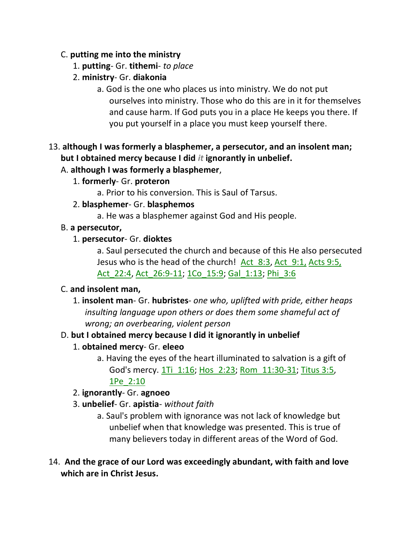#### C. **putting me into the ministry**

- 1. **putting** Gr. **tithemi** *to place*
- 2. **ministry** Gr. **diakonia**
	- a. God is the one who places us into ministry. We do not put ourselves into ministry. Those who do this are in it for themselves and cause harm. If God puts you in a place He keeps you there. If you put yourself in a place you must keep yourself there.

# 13. **although I was formerly a blasphemer, a persecutor, and an insolent man; but I obtained mercy because I did** *it* **ignorantly in unbelief.**

### A. **although I was formerly a blasphemer**,

1. **formerly**- Gr. **proteron**

a. Prior to his conversion. This is Saul of Tarsus.

- 2. **blasphemer** Gr. **blasphemos**
	- a. He was a blasphemer against God and His people.
- B. **a persecutor,**

### 1. **persecutor**- Gr. **dioktes**

a. Saul persecuted the church and because of this He also persecuted Jesus who is the head of the church! Act\_8:3, Act\_9:1, Acts 9:5, Act\_22:4, Act\_26:9-11; 1Co\_15:9; Gal\_1:13; Phi\_3:6

### C. **and insolent man,**

1. **insolent man**- Gr. **hubristes**- *one who, uplifted with pride, either heaps insulting language upon others or does them some shameful act of wrong; an overbearing, violent person*

# D. **but I obtained mercy because I did it ignorantly in unbelief**

- 1. **obtained mercy** Gr. **eleeo**
	- a. Having the eyes of the heart illuminated to salvation is a gift of God's mercy. 1Ti\_1:16; Hos\_2:23; Rom\_11:30-31; Titus 3:5, 1Pe\_2:10

### 2. **ignorantly**- Gr. **agnoeo**

- 3. **unbelief** Gr. **apistia** *without faith*
	- a. Saul's problem with ignorance was not lack of knowledge but unbelief when that knowledge was presented. This is true of many believers today in different areas of the Word of God.
- 14. **And the grace of our Lord was exceedingly abundant, with faith and love which are in Christ Jesus.**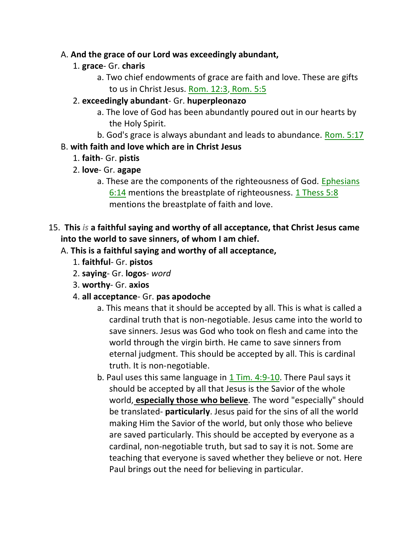#### A. **And the grace of our Lord was exceedingly abundant,**

- 1. **grace** Gr. **charis**
	- a. Two chief endowments of grace are faith and love. These are gifts to us in Christ Jesus. Rom. 12:3, Rom. 5:5

#### 2. **exceedingly abundant**- Gr. **huperpleonazo**

- a. The love of God has been abundantly poured out in our hearts by the Holy Spirit.
- b. God's grace is always abundant and leads to abundance. Rom. 5:17

### B. **with faith and love which are in Christ Jesus**

- 1. **faith** Gr. **pistis**
- 2. **love** Gr. **agape**
	- a. These are the components of the righteousness of God. Ephesians 6:14 mentions the breastplate of righteousness. 1 Thess 5:8 mentions the breastplate of faith and love.

### 15. **This** *is* **a faithful saying and worthy of all acceptance, that Christ Jesus came into the world to save sinners, of whom I am chief.**

### A. **This is a faithful saying and worthy of all acceptance,**

- 1. **faithful** Gr. **pistos**
- 2. **saying** Gr. **logos** *word*
- 3. **worthy** Gr. **axios**
- 4. **all acceptance** Gr. **pas apodoche**
	- a. This means that it should be accepted by all. This is what is called a cardinal truth that is non-negotiable. Jesus came into the world to save sinners. Jesus was God who took on flesh and came into the world through the virgin birth. He came to save sinners from eternal judgment. This should be accepted by all. This is cardinal truth. It is non-negotiable.
	- b. Paul uses this same language in  $1$  Tim. 4:9-10. There Paul says it should be accepted by all that Jesus is the Savior of the whole world, **especially those who believe**. The word "especially" should be translated- **particularly**. Jesus paid for the sins of all the world making Him the Savior of the world, but only those who believe are saved particularly. This should be accepted by everyone as a cardinal, non-negotiable truth, but sad to say it is not. Some are teaching that everyone is saved whether they believe or not. Here Paul brings out the need for believing in particular.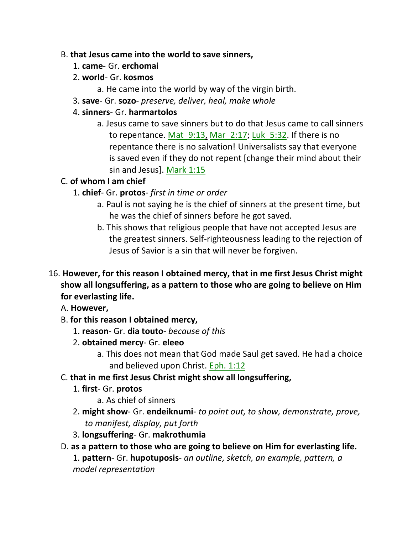#### B. **that Jesus came into the world to save sinners,**

- 1. **came** Gr. **erchomai**
- 2. **world** Gr. **kosmos**
	- a. He came into the world by way of the virgin birth.
- 3. **save** Gr. **sozo** *preserve, deliver, heal, make whole*

### 4. **sinners**- Gr. **harmartolos**

a. Jesus came to save sinners but to do that Jesus came to call sinners to repentance. Mat 9:13, Mar 2:17; Luk 5:32. If there is no repentance there is no salvation! Universalists say that everyone is saved even if they do not repent [change their mind about their sin and Jesus]. Mark 1:15

# C. **of whom I am chief**

- 1. **chief** Gr. **protos** *first in time or order*
	- a. Paul is not saying he is the chief of sinners at the present time, but he was the chief of sinners before he got saved.
	- b. This shows that religious people that have not accepted Jesus are the greatest sinners. Self-righteousness leading to the rejection of Jesus of Savior is a sin that will never be forgiven.
- 16. **However, for this reason I obtained mercy, that in me first Jesus Christ might show all longsuffering, as a pattern to those who are going to believe on Him for everlasting life.** 
	- A. **However,**
	- B. **for this reason I obtained mercy,**
		- 1. **reason** Gr. **dia touto** *because of this*
		- 2. **obtained mercy** Gr. **eleeo**
			- a. This does not mean that God made Saul get saved. He had a choice and believed upon Christ. Eph. 1:12
	- C. **that in me first Jesus Christ might show all longsuffering,**
		- 1. **first** Gr. **protos**
			- a. As chief of sinners
		- 2. **might show** Gr. **endeiknumi** *to point out, to show, demonstrate, prove, to manifest, display, put forth*
		- 3. **longsuffering** Gr. **makrothumia**
	- D. **as a pattern to those who are going to believe on Him for everlasting life.**  1. **pattern**- Gr. **hupotuposis**- *an outline, sketch, an example, pattern, a model representation*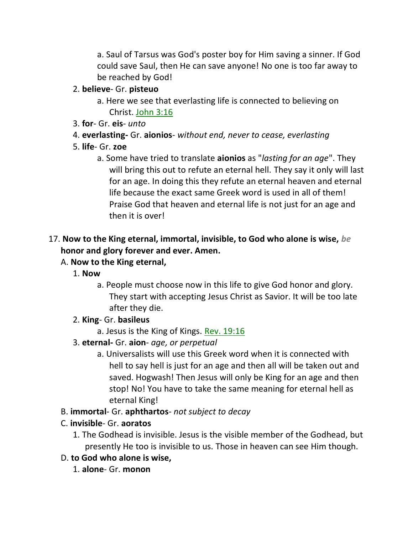a. Saul of Tarsus was God's poster boy for Him saving a sinner. If God could save Saul, then He can save anyone! No one is too far away to be reached by God!

#### 2. **believe**- Gr. **pisteuo**

- a. Here we see that everlasting life is connected to believing on Christ. John 3:16
- 3. **for** Gr. **eis** *unto*
- 4. **everlasting-** Gr. **aionios** *without end, never to cease, everlasting*

### 5. **life**- Gr. **zoe**

a. Some have tried to translate **aionios** as "*lasting for an age*". They will bring this out to refute an eternal hell. They say it only will last for an age. In doing this they refute an eternal heaven and eternal life because the exact same Greek word is used in all of them! Praise God that heaven and eternal life is not just for an age and then it is over!

### 17. **Now to the King eternal, immortal, invisible, to God who alone is wise,** *be* **honor and glory forever and ever. Amen.**

- A. **Now to the King eternal,**
	- 1. **Now**
		- a. People must choose now in this life to give God honor and glory. They start with accepting Jesus Christ as Savior. It will be too late after they die.
	- 2. **King** Gr. **basileus**

a. Jesus is the King of Kings. Rev. 19:16

- 3. **eternal-** Gr. **aion** *age, or perpetual*
	- a. Universalists will use this Greek word when it is connected with hell to say hell is just for an age and then all will be taken out and saved. Hogwash! Then Jesus will only be King for an age and then stop! No! You have to take the same meaning for eternal hell as eternal King!
- B. **immortal** Gr. **aphthartos** *not subject to decay*

# C. **invisible**- Gr. **aoratos**

- 1. The Godhead is invisible. Jesus is the visible member of the Godhead, but presently He too is invisible to us. Those in heaven can see Him though.
- D. **to God who alone is wise,**
	- 1. **alone** Gr. **monon**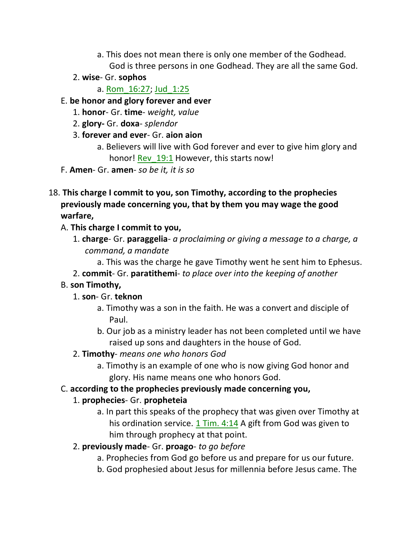- a. This does not mean there is only one member of the Godhead. God is three persons in one Godhead. They are all the same God.
- 2. **wise** Gr. **sophos**

a. Rom\_16:27; Jud\_1:25

- E. **be honor and glory forever and ever**
	- 1. **honor** Gr. **time** *weight, value*
	- 2. **glory-** Gr. **doxa** *splendor*
	- 3. **forever and ever** Gr. **aion aion**
		- a. Believers will live with God forever and ever to give him glory and honor! Rev 19:1 However, this starts now!
- F. **Amen** Gr. **amen** *so be it, it is so*
- 18. **This charge I commit to you, son Timothy, according to the prophecies previously made concerning you, that by them you may wage the good warfare,** 
	- A. **This charge I commit to you,**
		- 1. **charge** Gr. **paraggelia** *a proclaiming or giving a message to a charge, a command, a mandate*
			- a. This was the charge he gave Timothy went he sent him to Ephesus.
		- 2. **commit** Gr. **paratithemi** *to place over into the keeping of another*

### B. **son Timothy,**

- 1. **son** Gr. **teknon**
	- a. Timothy was a son in the faith. He was a convert and disciple of Paul.
	- b. Our job as a ministry leader has not been completed until we have raised up sons and daughters in the house of God.
- 2. **Timothy** *means one who honors God*
	- a. Timothy is an example of one who is now giving God honor and glory. His name means one who honors God.
- C. **according to the prophecies previously made concerning you,**

# 1. **prophecies**- Gr. **propheteia**

- a. In part this speaks of the prophecy that was given over Timothy at his ordination service. 1 Tim. 4:14 A gift from God was given to him through prophecy at that point.
- 2. **previously made** Gr. **proago** *to go before*
	- a. Prophecies from God go before us and prepare for us our future.
	- b. God prophesied about Jesus for millennia before Jesus came. The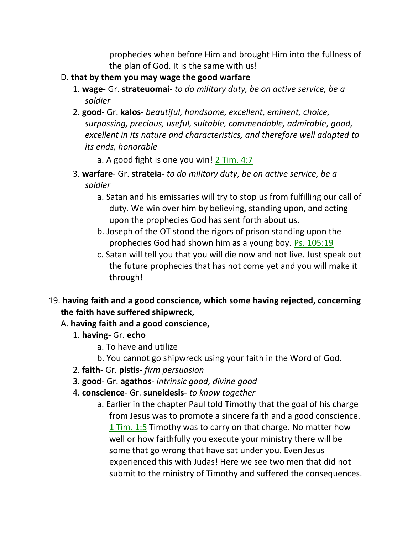prophecies when before Him and brought Him into the fullness of the plan of God. It is the same with us!

- D. **that by them you may wage the good warfare**
	- 1. **wage** Gr. **strateuomai** *to do military duty, be on active service, be a soldier*
	- 2. **good** Gr. **kalos** *beautiful, handsome, excellent, eminent, choice, surpassing, precious, useful, suitable, commendable, admirable, good, excellent in its nature and characteristics, and therefore well adapted to its ends, honorable*

a. A good fight is one you win! 2 Tim. 4:7

- 3. **warfare** Gr. **strateia-** *to do military duty, be on active service, be a soldier*
	- a. Satan and his emissaries will try to stop us from fulfilling our call of duty. We win over him by believing, standing upon, and acting upon the prophecies God has sent forth about us.
	- b. Joseph of the OT stood the rigors of prison standing upon the prophecies God had shown him as a young boy. Ps. 105:19
	- c. Satan will tell you that you will die now and not live. Just speak out the future prophecies that has not come yet and you will make it through!
- 19. **having faith and a good conscience, which some having rejected, concerning the faith have suffered shipwreck,**

### A. **having faith and a good conscience,**

- 1. **having** Gr. **echo**
	- a. To have and utilize
	- b. You cannot go shipwreck using your faith in the Word of God.
- 2. **faith** Gr. **pistis** *firm persuasion*
- 3. **good** Gr. **agathos** *intrinsic good, divine good*
- 4. **conscience** Gr. **suneidesis** *to know together*
	- a. Earlier in the chapter Paul told Timothy that the goal of his charge from Jesus was to promote a sincere faith and a good conscience. 1 Tim. 1:5 Timothy was to carry on that charge. No matter how well or how faithfully you execute your ministry there will be some that go wrong that have sat under you. Even Jesus experienced this with Judas! Here we see two men that did not submit to the ministry of Timothy and suffered the consequences.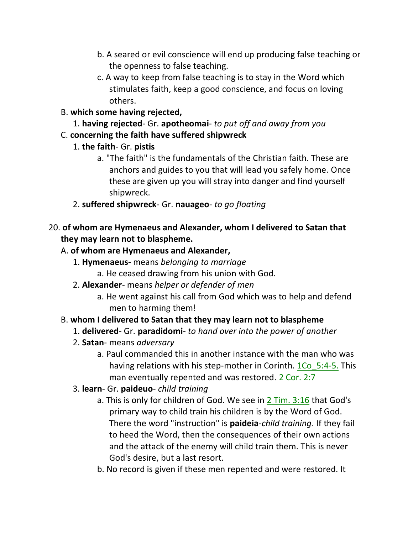- b. A seared or evil conscience will end up producing false teaching or the openness to false teaching.
- c. A way to keep from false teaching is to stay in the Word which stimulates faith, keep a good conscience, and focus on loving others.
- B. **which some having rejected,**
	- 1. **having rejected** Gr. **apotheomai** *to put off and away from you*
- C. **concerning the faith have suffered shipwreck**
	- 1. **the faith** Gr. **pistis**
		- a. "The faith" is the fundamentals of the Christian faith. These are anchors and guides to you that will lead you safely home. Once these are given up you will stray into danger and find yourself shipwreck.
	- 2. **suffered shipwreck** Gr. **nauageo** *to go floating*

# 20. **of whom are Hymenaeus and Alexander, whom I delivered to Satan that they may learn not to blaspheme.**

- A. **of whom are Hymenaeus and Alexander,**
	- 1. **Hymenaeus-** means *belonging to marriage* a. He ceased drawing from his union with God.
	- 2. **Alexander** means *helper or defender of men*
		- a. He went against his call from God which was to help and defend men to harming them!

# B. **whom I delivered to Satan that they may learn not to blaspheme**

- 1. **delivered** Gr. **paradidomi** *to hand over into the power of another*
- 2. **Satan** means *adversary*
	- a. Paul commanded this in another instance with the man who was having relations with his step-mother in Corinth. 1Co 5:4-5. This man eventually repented and was restored. 2 Cor. 2:7
- 3. **learn** Gr. **paideuo** *child training*
	- a. This is only for children of God. We see in 2 Tim. 3:16 that God's primary way to child train his children is by the Word of God. There the word "instruction" is **paideia**-*child training*. If they fail to heed the Word, then the consequences of their own actions and the attack of the enemy will child train them. This is never God's desire, but a last resort.
	- b. No record is given if these men repented and were restored. It